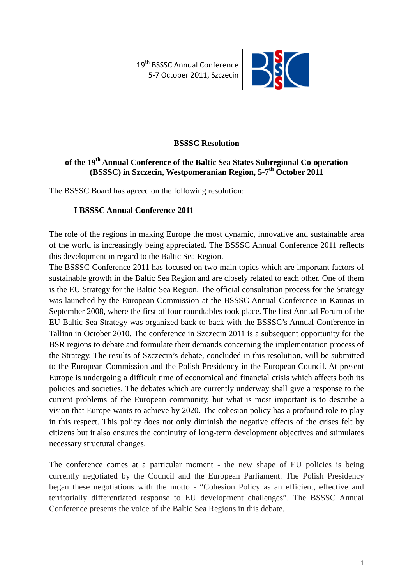19<sup>th</sup> BSSSC Annual Conference 5-7 October 2011, Szczecin



## **BSSSC Resolution**

# **of the 19th Annual Conference of the Baltic Sea States Subregional Co-operation (BSSSC) in Szczecin, Westpomeranian Region, 5-7th October 2011**

The BSSSC Board has agreed on the following resolution:

### **I BSSSC Annual Conference 2011**

The role of the regions in making Europe the most dynamic, innovative and sustainable area of the world is increasingly being appreciated. The BSSSC Annual Conference 2011 reflects this development in regard to the Baltic Sea Region.

The BSSSC Conference 2011 has focused on two main topics which are important factors of sustainable growth in the Baltic Sea Region and are closely related to each other. One of them is the EU Strategy for the Baltic Sea Region. The official consultation process for the Strategy was launched by the European Commission at the BSSSC Annual Conference in Kaunas in September 2008, where the first of four roundtables took place. The first Annual Forum of the EU Baltic Sea Strategy was organized back-to-back with the BSSSC's Annual Conference in Tallinn in October 2010. The conference in Szczecin 2011 is a subsequent opportunity for the BSR regions to debate and formulate their demands concerning the implementation process of the Strategy. The results of Szczecin's debate, concluded in this resolution, will be submitted to the European Commission and the Polish Presidency in the European Council. At present Europe is undergoing a difficult time of economical and financial crisis which affects both its policies and societies. The debates which are currently underway shall give a response to the current problems of the European community, but what is most important is to describe a vision that Europe wants to achieve by 2020. The cohesion policy has a profound role to play in this respect. This policy does not only diminish the negative effects of the crises felt by citizens but it also ensures the continuity of long-term development objectives and stimulates necessary structural changes.

The conference comes at a particular moment - the new shape of EU policies is being currently negotiated by the Council and the European Parliament. The Polish Presidency began these negotiations with the motto - "Cohesion Policy as an efficient, effective and territorially differentiated response to EU development challenges". The BSSSC Annual Conference presents the voice of the Baltic Sea Regions in this debate.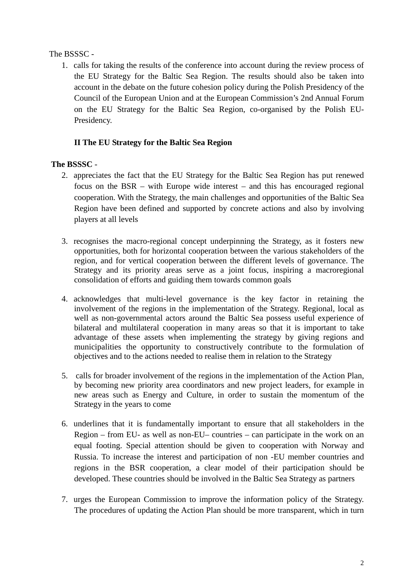### The BSSSC -

1. calls for taking the results of the conference into account during the review process of the EU Strategy for the Baltic Sea Region. The results should also be taken into account in the debate on the future cohesion policy during the Polish Presidency of the Council of the European Union and at the European Commission's 2nd Annual Forum on the EU Strategy for the Baltic Sea Region, co-organised by the Polish EU-Presidency.

# **II The EU Strategy for the Baltic Sea Region**

## **The BSSSC** -

- 2. appreciates the fact that the EU Strategy for the Baltic Sea Region has put renewed focus on the BSR – with Europe wide interest – and this has encouraged regional cooperation. With the Strategy, the main challenges and opportunities of the Baltic Sea Region have been defined and supported by concrete actions and also by involving players at all levels
- 3. recognises the macro-regional concept underpinning the Strategy, as it fosters new opportunities, both for horizontal cooperation between the various stakeholders of the region, and for vertical cooperation between the different levels of governance. The Strategy and its priority areas serve as a joint focus, inspiring a macroregional consolidation of efforts and guiding them towards common goals
- 4. acknowledges that multi-level governance is the key factor in retaining the involvement of the regions in the implementation of the Strategy. Regional, local as well as non-governmental actors around the Baltic Sea possess useful experience of bilateral and multilateral cooperation in many areas so that it is important to take advantage of these assets when implementing the strategy by giving regions and municipalities the opportunity to constructively contribute to the formulation of objectives and to the actions needed to realise them in relation to the Strategy
- 5. calls for broader involvement of the regions in the implementation of the Action Plan, by becoming new priority area coordinators and new project leaders, for example in new areas such as Energy and Culture, in order to sustain the momentum of the Strategy in the years to come
- 6. underlines that it is fundamentally important to ensure that all stakeholders in the Region – from EU- as well as non-EU– countries – can participate in the work on an equal footing. Special attention should be given to cooperation with Norway and Russia. To increase the interest and participation of non -EU member countries and regions in the BSR cooperation, a clear model of their participation should be developed. These countries should be involved in the Baltic Sea Strategy as partners
- 7. urges the European Commission to improve the information policy of the Strategy. The procedures of updating the Action Plan should be more transparent, which in turn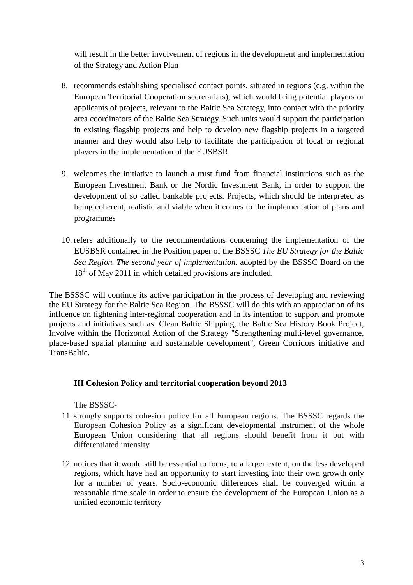will result in the better involvement of regions in the development and implementation of the Strategy and Action Plan

- 8. recommends establishing specialised contact points, situated in regions (e.g. within the European Territorial Cooperation secretariats), which would bring potential players or applicants of projects, relevant to the Baltic Sea Strategy, into contact with the priority area coordinators of the Baltic Sea Strategy. Such units would support the participation in existing flagship projects and help to develop new flagship projects in a targeted manner and they would also help to facilitate the participation of local or regional players in the implementation of the EUSBSR
- 9. welcomes the initiative to launch a trust fund from financial institutions such as the European Investment Bank or the Nordic Investment Bank, in order to support the development of so called bankable projects. Projects, which should be interpreted as being coherent, realistic and viable when it comes to the implementation of plans and programmes
- 10. refers additionally to the recommendations concerning the implementation of the EUSBSR contained in the Position paper of the BSSSC *The EU Strategy for the Baltic Sea Region. The second year of implementation.* adopted by the BSSSC Board on the  $18<sup>th</sup>$  of May 2011 in which detailed provisions are included.

The BSSSC will continue its active participation in the process of developing and reviewing the EU Strategy for the Baltic Sea Region. The BSSSC will do this with an appreciation of its influence on tightening inter-regional cooperation and in its intention to support and promote projects and initiatives such as: Clean Baltic Shipping, the Baltic Sea History Book Project, Involve within the Horizontal Action of the Strategy "Strengthening multi-level governance, place-based spatial planning and sustainable development", Green Corridors initiative and TransBaltic**.** 

### **III Cohesion Policy and territorial cooperation beyond 2013**

The BSSSC-

- 11. strongly supports cohesion policy for all European regions. The BSSSC regards the European Cohesion Policy as a significant developmental instrument of the whole European Union considering that all regions should benefit from it but with differentiated intensity
- 12. notices that it would still be essential to focus, to a larger extent, on the less developed regions, which have had an opportunity to start investing into their own growth only for a number of years. Socio-economic differences shall be converged within a reasonable time scale in order to ensure the development of the European Union as a unified economic territory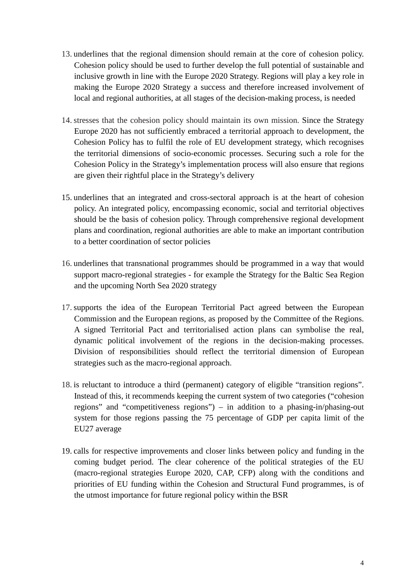- 13. underlines that the regional dimension should remain at the core of cohesion policy. Cohesion policy should be used to further develop the full potential of sustainable and inclusive growth in line with the Europe 2020 Strategy. Regions will play a key role in making the Europe 2020 Strategy a success and therefore increased involvement of local and regional authorities, at all stages of the decision-making process, is needed
- 14. stresses that the cohesion policy should maintain its own mission. Since the Strategy Europe 2020 has not sufficiently embraced a territorial approach to development, the Cohesion Policy has to fulfil the role of EU development strategy, which recognises the territorial dimensions of socio-economic processes. Securing such a role for the Cohesion Policy in the Strategy's implementation process will also ensure that regions are given their rightful place in the Strategy's delivery
- 15. underlines that an integrated and cross-sectoral approach is at the heart of cohesion policy. An integrated policy, encompassing economic, social and territorial objectives should be the basis of cohesion policy. Through comprehensive regional development plans and coordination, regional authorities are able to make an important contribution to a better coordination of sector policies
- 16. underlines that transnational programmes should be programmed in a way that would support macro-regional strategies - for example the Strategy for the Baltic Sea Region and the upcoming North Sea 2020 strategy
- 17. supports the idea of the European Territorial Pact agreed between the European Commission and the European regions, as proposed by the Committee of the Regions. A signed Territorial Pact and territorialised action plans can symbolise the real, dynamic political involvement of the regions in the decision-making processes. Division of responsibilities should reflect the territorial dimension of European strategies such as the macro-regional approach.
- 18. is reluctant to introduce a third (permanent) category of eligible "transition regions". Instead of this, it recommends keeping the current system of two categories ("cohesion regions" and "competitiveness regions") – in addition to a phasing-in/phasing-out system for those regions passing the 75 percentage of GDP per capita limit of the EU27 average
- 19. calls for respective improvements and closer links between policy and funding in the coming budget period. The clear coherence of the political strategies of the EU (macro-regional strategies Europe 2020, CAP, CFP) along with the conditions and priorities of EU funding within the Cohesion and Structural Fund programmes, is of the utmost importance for future regional policy within the BSR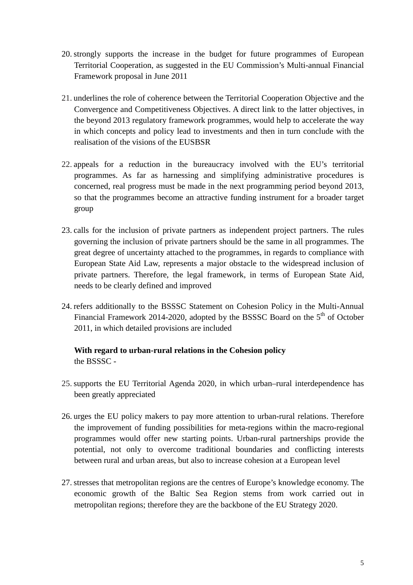- 20. strongly supports the increase in the budget for future programmes of European Territorial Cooperation, as suggested in the EU Commission's Multi-annual Financial Framework proposal in June 2011
- 21. underlines the role of coherence between the Territorial Cooperation Objective and the Convergence and Competitiveness Objectives. A direct link to the latter objectives, in the beyond 2013 regulatory framework programmes, would help to accelerate the way in which concepts and policy lead to investments and then in turn conclude with the realisation of the visions of the EUSBSR
- 22. appeals for a reduction in the bureaucracy involved with the EU's territorial programmes. As far as harnessing and simplifying administrative procedures is concerned, real progress must be made in the next programming period beyond 2013, so that the programmes become an attractive funding instrument for a broader target group
- 23. calls for the inclusion of private partners as independent project partners. The rules governing the inclusion of private partners should be the same in all programmes. The great degree of uncertainty attached to the programmes, in regards to compliance with European State Aid Law, represents a major obstacle to the widespread inclusion of private partners. Therefore, the legal framework, in terms of European State Aid, needs to be clearly defined and improved
- 24. refers additionally to the BSSSC Statement on Cohesion Policy in the Multi-Annual Financial Framework 2014-2020, adopted by the BSSSC Board on the  $5<sup>th</sup>$  of October 2011, in which detailed provisions are included

# **With regard to urban-rural relations in the Cohesion policy**  the BSSSC -

- 25. supports the EU Territorial Agenda 2020, in which urban–rural interdependence has been greatly appreciated
- 26. urges the EU policy makers to pay more attention to urban-rural relations. Therefore the improvement of funding possibilities for meta-regions within the macro-regional programmes would offer new starting points. Urban-rural partnerships provide the potential, not only to overcome traditional boundaries and conflicting interests between rural and urban areas, but also to increase cohesion at a European level
- 27. stresses that metropolitan regions are the centres of Europe's knowledge economy. The economic growth of the Baltic Sea Region stems from work carried out in metropolitan regions; therefore they are the backbone of the EU Strategy 2020.